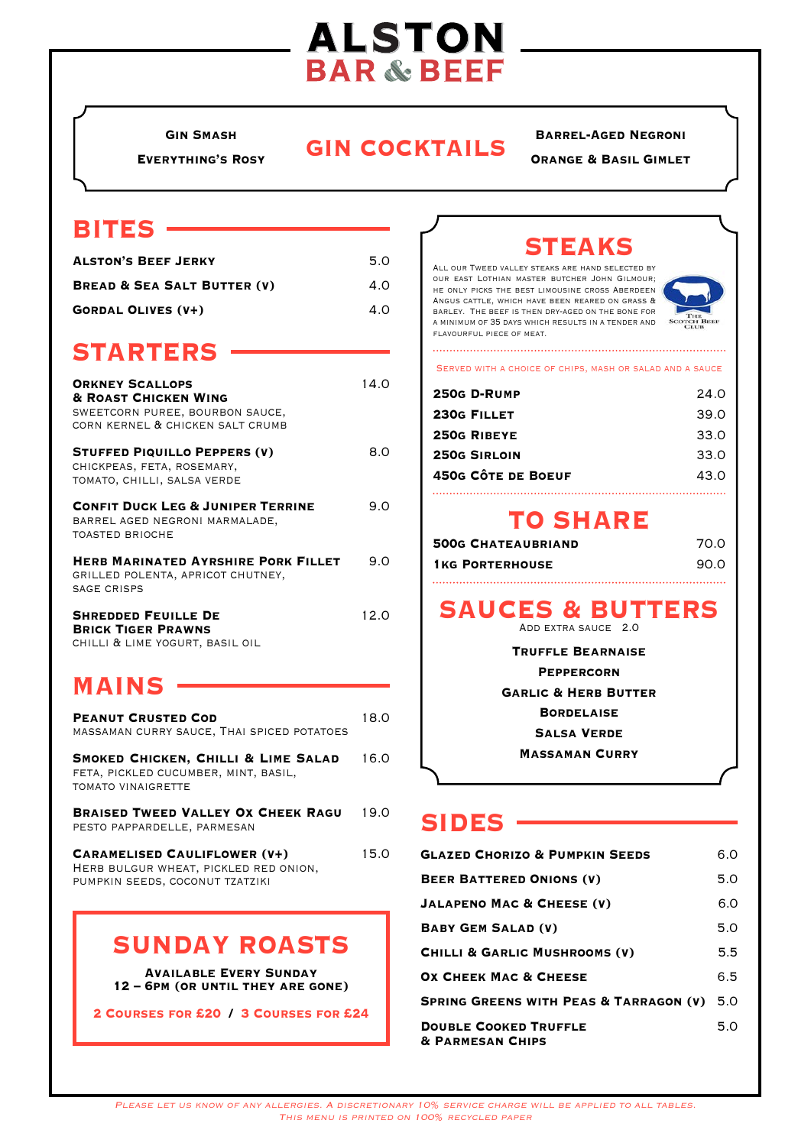# **ALSTON BAR & BEEF**

**Everything's Rosy**

# **GIN COCKTAILS**

#### **Barrel-Aged Negroni**

**Orange & Basil Gimlet**

#### **bites**

| <b>ALSTON'S BEEF JERKY</b>             | 5.0 |
|----------------------------------------|-----|
| <b>BREAD &amp; SEA SALT BUTTER (V)</b> | 4.0 |
| <b>GORDAL OLIVES (V+)</b>              | 4.0 |

#### **STARTERS**

| <b>ORKNEY SCALLOPS</b><br><b>&amp; ROAST CHICKEN WING</b><br>SWEETCORN PUREE, BOURBON SAUCE,<br>CORN KERNEL & CHICKEN SALT CRUMB | 14.O |
|----------------------------------------------------------------------------------------------------------------------------------|------|
| <b>STUFFED PIQUILLO PEPPERS (V)</b><br>CHICKPEAS, FETA, ROSEMARY,<br>TOMATO, CHILLI, SALSA VERDE                                 | 8 O  |
| <b>CONFIT DUCK LEG &amp; JUNIPER TERRINE</b><br>BARREL AGED NEGRONI MARMALADE,<br><b>TOASTED BRIOCHE</b>                         | 9.0  |
| <b>HERB MARINATED AYRSHIRE PORK FILLET</b><br>GRILLED POLENTA, APRICOT CHUTNEY,<br>SAGE CRISPS                                   | 9.0  |
| <b>SHREDDED FEUILLE DE</b><br><b>BRICK TIGER PRAWNS</b>                                                                          | 12.0 |

chilli & lime yogurt, basil oil

## **Mains**

| <b>PEANUT CRUSTED COD</b><br>MASSAMAN CURRY SAUCE, THAI SPICED POTATOES                                         | 18.0 |
|-----------------------------------------------------------------------------------------------------------------|------|
| SMOKED CHICKEN, CHILLI & LIME SALAD<br>FETA, PICKLED CUCUMBER, MINT, BASIL,<br>TOMATO VINAIGRETTE               | 16.0 |
| <b>BRAISED TWEED VALLEY OX CHEEK RAGU</b><br>PESTO PAPPARDELLE, PARMESAN                                        | 19.0 |
| <b>CARAMELISED CAULIFLOWER (V+)</b><br>HERB BULGUR WHEAT, PICKLED RED ONION,<br>PUMPKIN SEEDS, COCONUT TZATZIKI | 15.0 |

#### **sunday roasts**

**Available Every Sunday 12 – 6pm (or until they are gone)**

**2 Courses for £20 / 3 Courses for £24**

# **Steaks**

All our Tweed valley steaks are hand selected by our east Lothian master butcher John Gilmour; he only picks the best limousine cross Aberdeen Angus cattle, which have been reared on grass & barley. The beef is then dry-aged on the bone for a minimum of 35 days which results in a tender and flavourful piece of meat. 



Served with a choice of chips, mash or salad and a sauce

| 250G D-RUMP        | 24.0 |
|--------------------|------|
| 230G FILLET        | 39.0 |
| 250G RIBEYE        | 33.0 |
| 250G SIRLOIN       | 33.0 |
| 450G CÔTE DE BOEUF | 43.0 |
|                    |      |

#### **TO SHARE**

| <b>500G CHATEAUBRIAND</b> | 70 O |
|---------------------------|------|
| <b>1KG PORTERHOUSE</b>    | 90 O |
|                           |      |

# SAUCES & BUTTERS

**Truffle Bearnaise Peppercorn Garlic & Herb Butter Bordelaise Salsa Verde Massaman Curry**

#### **Sides**

| <b>GLAZED CHORIZO &amp; PUMPKIN SEEDS</b>                   | 6.0 |
|-------------------------------------------------------------|-----|
| <b>BEER BATTERED ONIONS (V)</b>                             | 5.0 |
| <b>JALAPENO MAC &amp; CHEESE (V)</b>                        | 6.0 |
| <b>BABY GEM SALAD (V)</b>                                   | 5.0 |
| CHILLI & GARLIC MUSHROOMS (V)                               | 5.5 |
| <b>OX CHEEK MAC &amp; CHEESE</b>                            | 6.5 |
| <b>SPRING GREENS WITH PEAS &amp; TARRAGON (V)</b> 5.0       |     |
| <b>DOUBLE COOKED TRUFFLE</b><br><b>&amp; PARMESAN CHIPS</b> | 5.0 |

Please let us know of any allergies. A discretionary 10% service charge will be applied to all tables. This menu is printed on 100% recycled paper